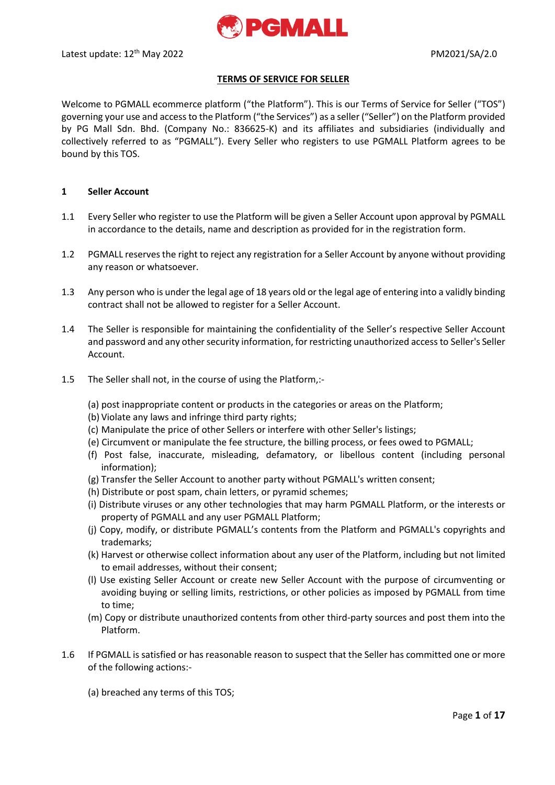

## **TERMS OF SERVICE FOR SELLER**

Welcome to PGMALL ecommerce platform ("the Platform"). This is our Terms of Service for Seller ("TOS") governing your use and access to the Platform ("the Services") as a seller ("Seller") on the Platform provided by PG Mall Sdn. Bhd. (Company No.: 836625-K) and its affiliates and subsidiaries (individually and collectively referred to as "PGMALL"). Every Seller who registers to use PGMALL Platform agrees to be bound by this TOS.

#### **1 Seller Account**

- 1.1 Every Seller who register to use the Platform will be given a Seller Account upon approval by PGMALL in accordance to the details, name and description as provided for in the registration form.
- 1.2 PGMALL reserves the right to reject any registration for a Seller Account by anyone without providing any reason or whatsoever.
- 1.3 Any person who is under the legal age of 18 years old or the legal age of entering into a validly binding contract shall not be allowed to register for a Seller Account.
- 1.4 The Seller is responsible for maintaining the confidentiality of the Seller's respective Seller Account and password and any other security information, for restricting unauthorized access to Seller's Seller Account.
- 1.5 The Seller shall not, in the course of using the Platform,:-
	- (a) post inappropriate content or products in the categories or areas on the Platform;
	- (b) Violate any laws and infringe third party rights;
	- (c) Manipulate the price of other Sellers or interfere with other Seller's listings;
	- (e) Circumvent or manipulate the fee structure, the billing process, or fees owed to PGMALL;
	- (f) Post false, inaccurate, misleading, defamatory, or libellous content (including personal information);
	- (g) Transfer the Seller Account to another party without PGMALL's written consent;
	- (h) Distribute or post spam, chain letters, or pyramid schemes;
	- (i) Distribute viruses or any other technologies that may harm PGMALL Platform, or the interests or property of PGMALL and any user PGMALL Platform;
	- (j) Copy, modify, or distribute PGMALL's contents from the Platform and PGMALL's copyrights and trademarks;
	- (k) Harvest or otherwise collect information about any user of the Platform, including but not limited to email addresses, without their consent;
	- (l) Use existing Seller Account or create new Seller Account with the purpose of circumventing or avoiding buying or selling limits, restrictions, or other policies as imposed by PGMALL from time to time;
	- (m) Copy or distribute unauthorized contents from other third-party sources and post them into the Platform.
- 1.6 If PGMALL is satisfied or has reasonable reason to suspect that the Seller has committed one or more of the following actions:-
	- (a) breached any terms of this TOS;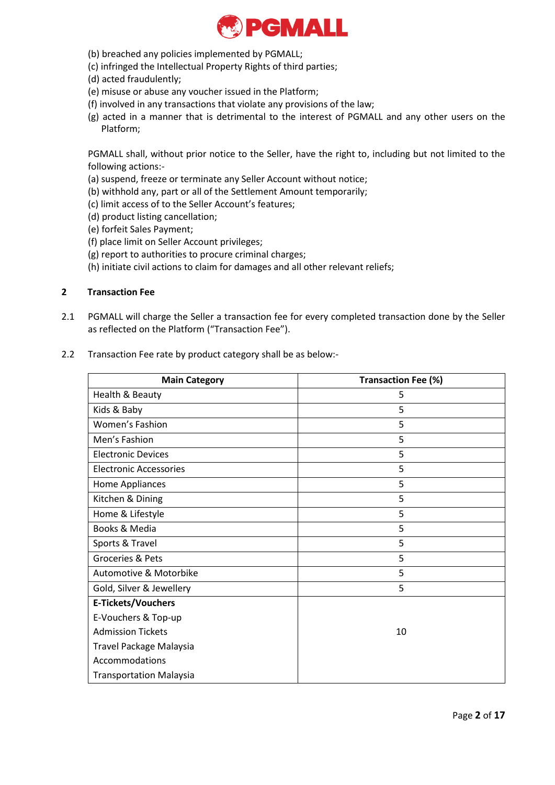

- (b) breached any policies implemented by PGMALL;
- (c) infringed the Intellectual Property Rights of third parties;
- (d) acted fraudulently;
- (e) misuse or abuse any voucher issued in the Platform;
- (f) involved in any transactions that violate any provisions of the law;
- (g) acted in a manner that is detrimental to the interest of PGMALL and any other users on the Platform;

PGMALL shall, without prior notice to the Seller, have the right to, including but not limited to the following actions:-

- (a) suspend, freeze or terminate any Seller Account without notice;
- (b) withhold any, part or all of the Settlement Amount temporarily;
- (c) limit access of to the Seller Account's features;
- (d) product listing cancellation;
- (e) forfeit Sales Payment;
- (f) place limit on Seller Account privileges;
- (g) report to authorities to procure criminal charges;
- (h) initiate civil actions to claim for damages and all other relevant reliefs;

# **2 Transaction Fee**

2.1 PGMALL will charge the Seller a transaction fee for every completed transaction done by the Seller as reflected on the Platform ("Transaction Fee").

### 2.2 Transaction Fee rate by product category shall be as below:-

| <b>Main Category</b>           | <b>Transaction Fee (%)</b> |
|--------------------------------|----------------------------|
| Health & Beauty                | 5                          |
| Kids & Baby                    | 5                          |
| <b>Women's Fashion</b>         | 5                          |
| Men's Fashion                  | 5                          |
| <b>Electronic Devices</b>      | 5                          |
| Electronic Accessories         | 5                          |
| Home Appliances                | 5                          |
| Kitchen & Dining               | 5                          |
| Home & Lifestyle               | 5                          |
| Books & Media                  | 5                          |
| Sports & Travel                | 5                          |
| <b>Groceries &amp; Pets</b>    | 5                          |
| Automotive & Motorbike         | 5                          |
| Gold, Silver & Jewellery       | 5                          |
| <b>E-Tickets/Vouchers</b>      |                            |
| E-Vouchers & Top-up            |                            |
| <b>Admission Tickets</b>       | 10                         |
| Travel Package Malaysia        |                            |
| Accommodations                 |                            |
| <b>Transportation Malaysia</b> |                            |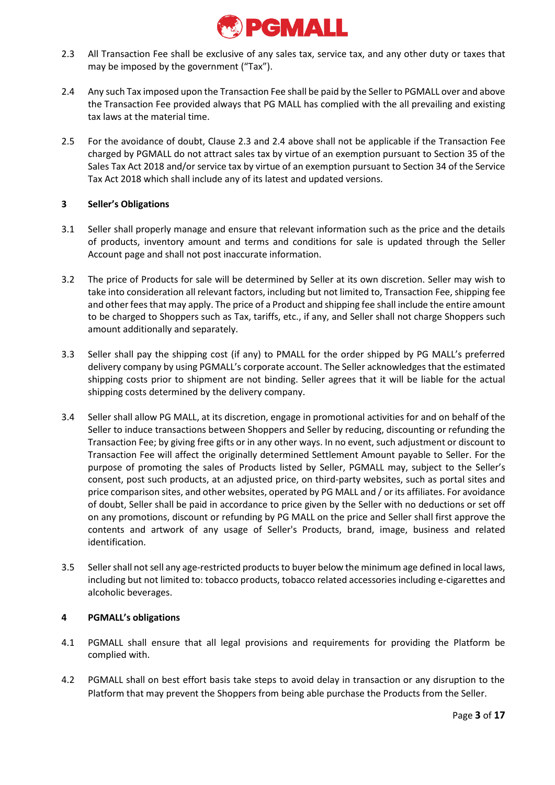

- 2.3 All Transaction Fee shall be exclusive of any sales tax, service tax, and any other duty or taxes that may be imposed by the government ("Tax").
- 2.4 Any such Tax imposed upon the Transaction Fee shall be paid by the Seller to PGMALL over and above the Transaction Fee provided always that PG MALL has complied with the all prevailing and existing tax laws at the material time.
- 2.5 For the avoidance of doubt, Clause 2.3 and 2.4 above shall not be applicable if the Transaction Fee charged by PGMALL do not attract sales tax by virtue of an exemption pursuant to Section 35 of the Sales Tax Act 2018 and/or service tax by virtue of an exemption pursuant to Section 34 of the Service Tax Act 2018 which shall include any of its latest and updated versions.

# **3 Seller's Obligations**

- 3.1 Seller shall properly manage and ensure that relevant information such as the price and the details of products, inventory amount and terms and conditions for sale is updated through the Seller Account page and shall not post inaccurate information.
- 3.2 The price of Products for sale will be determined by Seller at its own discretion. Seller may wish to take into consideration all relevant factors, including but not limited to, Transaction Fee, shipping fee and other fees that may apply. The price of a Product and shipping fee shall include the entire amount to be charged to Shoppers such as Tax, tariffs, etc., if any, and Seller shall not charge Shoppers such amount additionally and separately.
- 3.3 Seller shall pay the shipping cost (if any) to PMALL for the order shipped by PG MALL's preferred delivery company by using PGMALL's corporate account. The Seller acknowledges that the estimated shipping costs prior to shipment are not binding. Seller agrees that it will be liable for the actual shipping costs determined by the delivery company.
- 3.4 Seller shall allow PG MALL, at its discretion, engage in promotional activities for and on behalf of the Seller to induce transactions between Shoppers and Seller by reducing, discounting or refunding the Transaction Fee; by giving free gifts or in any other ways. In no event, such adjustment or discount to Transaction Fee will affect the originally determined Settlement Amount payable to Seller. For the purpose of promoting the sales of Products listed by Seller, PGMALL may, subject to the Seller's consent, post such products, at an adjusted price, on third-party websites, such as portal sites and price comparison sites, and other websites, operated by PG MALL and / or its affiliates. For avoidance of doubt, Seller shall be paid in accordance to price given by the Seller with no deductions or set off on any promotions, discount or refunding by PG MALL on the price and Seller shall first approve the contents and artwork of any usage of Seller's Products, brand, image, business and related identification.
- 3.5 Seller shall not sell any age-restricted products to buyer below the minimum age defined in local laws, including but not limited to: tobacco products, tobacco related accessories including e-cigarettes and alcoholic beverages.

# **4 PGMALL's obligations**

- 4.1 PGMALL shall ensure that all legal provisions and requirements for providing the Platform be complied with.
- 4.2 PGMALL shall on best effort basis take steps to avoid delay in transaction or any disruption to the Platform that may prevent the Shoppers from being able purchase the Products from the Seller.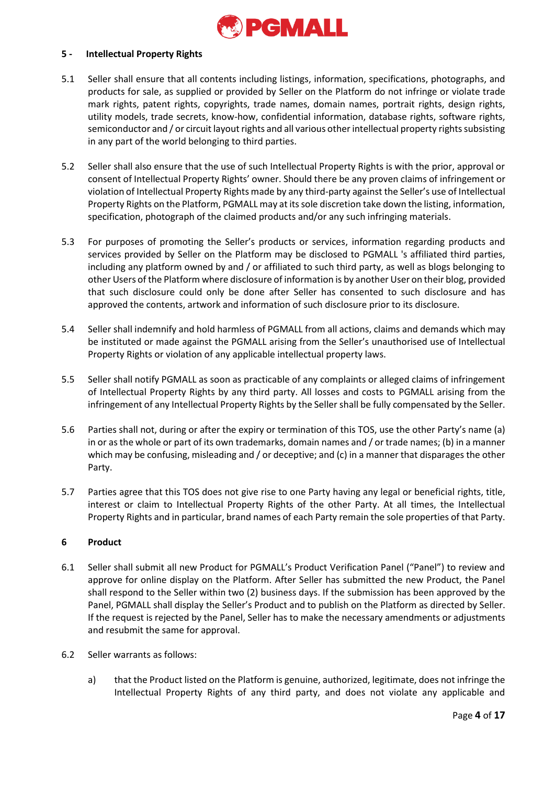

### **5 - Intellectual Property Rights**

- 5.1 Seller shall ensure that all contents including listings, information, specifications, photographs, and products for sale, as supplied or provided by Seller on the Platform do not infringe or violate trade mark rights, patent rights, copyrights, trade names, domain names, portrait rights, design rights, utility models, trade secrets, know-how, confidential information, database rights, software rights, semiconductor and / or circuit layout rights and all various other intellectual property rights subsisting in any part of the world belonging to third parties.
- 5.2 Seller shall also ensure that the use of such Intellectual Property Rights is with the prior, approval or consent of Intellectual Property Rights' owner. Should there be any proven claims of infringement or violation of Intellectual Property Rights made by any third-party against the Seller's use of Intellectual Property Rights on the Platform, PGMALL may at its sole discretion take down the listing, information, specification, photograph of the claimed products and/or any such infringing materials.
- 5.3 For purposes of promoting the Seller's products or services, information regarding products and services provided by Seller on the Platform may be disclosed to PGMALL 's affiliated third parties, including any platform owned by and / or affiliated to such third party, as well as blogs belonging to other Users of the Platform where disclosure of information is by another User on their blog, provided that such disclosure could only be done after Seller has consented to such disclosure and has approved the contents, artwork and information of such disclosure prior to its disclosure.
- 5.4 Seller shall indemnify and hold harmless of PGMALL from all actions, claims and demands which may be instituted or made against the PGMALL arising from the Seller's unauthorised use of Intellectual Property Rights or violation of any applicable intellectual property laws.
- 5.5 Seller shall notify PGMALL as soon as practicable of any complaints or alleged claims of infringement of Intellectual Property Rights by any third party. All losses and costs to PGMALL arising from the infringement of any Intellectual Property Rights by the Seller shall be fully compensated by the Seller.
- 5.6 Parties shall not, during or after the expiry or termination of this TOS, use the other Party's name (a) in or as the whole or part of its own trademarks, domain names and / or trade names; (b) in a manner which may be confusing, misleading and / or deceptive; and (c) in a manner that disparages the other Party.
- 5.7 Parties agree that this TOS does not give rise to one Party having any legal or beneficial rights, title, interest or claim to Intellectual Property Rights of the other Party. At all times, the Intellectual Property Rights and in particular, brand names of each Party remain the sole properties of that Party.

#### **6 Product**

- 6.1 Seller shall submit all new Product for PGMALL's Product Verification Panel ("Panel") to review and approve for online display on the Platform. After Seller has submitted the new Product, the Panel shall respond to the Seller within two (2) business days. If the submission has been approved by the Panel, PGMALL shall display the Seller's Product and to publish on the Platform as directed by Seller. If the request is rejected by the Panel, Seller has to make the necessary amendments or adjustments and resubmit the same for approval.
- 6.2 Seller warrants as follows:
	- a) that the Product listed on the Platform is genuine, authorized, legitimate, does not infringe the Intellectual Property Rights of any third party, and does not violate any applicable and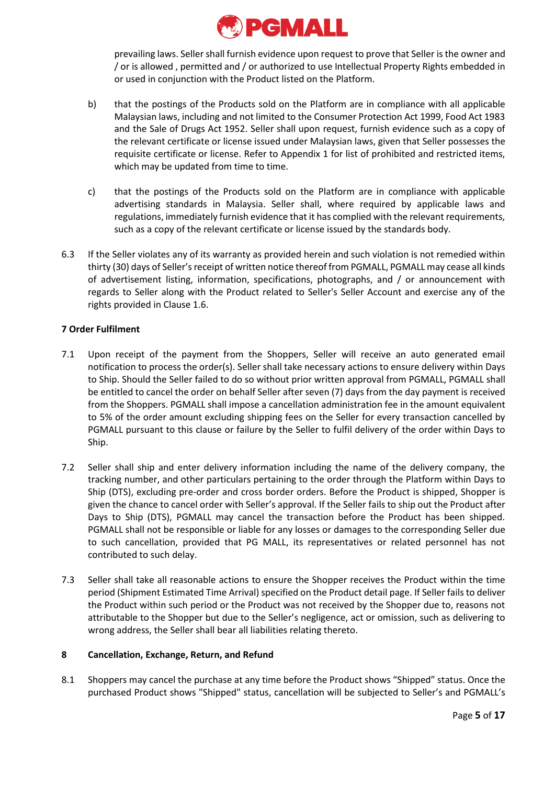

prevailing laws. Seller shall furnish evidence upon request to prove that Seller is the owner and / or is allowed , permitted and / or authorized to use Intellectual Property Rights embedded in or used in conjunction with the Product listed on the Platform.

- b) that the postings of the Products sold on the Platform are in compliance with all applicable Malaysian laws, including and not limited to the Consumer Protection Act 1999, Food Act 1983 and the Sale of Drugs Act 1952. Seller shall upon request, furnish evidence such as a copy of the relevant certificate or license issued under Malaysian laws, given that Seller possesses the requisite certificate or license. Refer to Appendix 1 for list of prohibited and restricted items, which may be updated from time to time.
- c) that the postings of the Products sold on the Platform are in compliance with applicable advertising standards in Malaysia. Seller shall, where required by applicable laws and regulations, immediately furnish evidence that it has complied with the relevant requirements, such as a copy of the relevant certificate or license issued by the standards body.
- 6.3 If the Seller violates any of its warranty as provided herein and such violation is not remedied within thirty (30) days of Seller's receipt of written notice thereof from PGMALL, PGMALL may cease all kinds of advertisement listing, information, specifications, photographs, and / or announcement with regards to Seller along with the Product related to Seller's Seller Account and exercise any of the rights provided in Clause 1.6.

# **7 Order Fulfilment**

- 7.1 Upon receipt of the payment from the Shoppers, Seller will receive an auto generated email notification to process the order(s). Seller shall take necessary actions to ensure delivery within Days to Ship. Should the Seller failed to do so without prior written approval from PGMALL, PGMALL shall be entitled to cancel the order on behalf Seller after seven (7) days from the day payment is received from the Shoppers. PGMALL shall impose a cancellation administration fee in the amount equivalent to 5% of the order amount excluding shipping fees on the Seller for every transaction cancelled by PGMALL pursuant to this clause or failure by the Seller to fulfil delivery of the order within Days to Ship.
- 7.2 Seller shall ship and enter delivery information including the name of the delivery company, the tracking number, and other particulars pertaining to the order through the Platform within Days to Ship (DTS), excluding pre-order and cross border orders. Before the Product is shipped, Shopper is given the chance to cancel order with Seller's approval. If the Seller fails to ship out the Product after Days to Ship (DTS), PGMALL may cancel the transaction before the Product has been shipped. PGMALL shall not be responsible or liable for any losses or damages to the corresponding Seller due to such cancellation, provided that PG MALL, its representatives or related personnel has not contributed to such delay.
- 7.3 Seller shall take all reasonable actions to ensure the Shopper receives the Product within the time period (Shipment Estimated Time Arrival) specified on the Product detail page. If Seller fails to deliver the Product within such period or the Product was not received by the Shopper due to, reasons not attributable to the Shopper but due to the Seller's negligence, act or omission, such as delivering to wrong address, the Seller shall bear all liabilities relating thereto.

# **8 Cancellation, Exchange, Return, and Refund**

8.1 Shoppers may cancel the purchase at any time before the Product shows "Shipped" status. Once the purchased Product shows "Shipped" status, cancellation will be subjected to Seller's and PGMALL's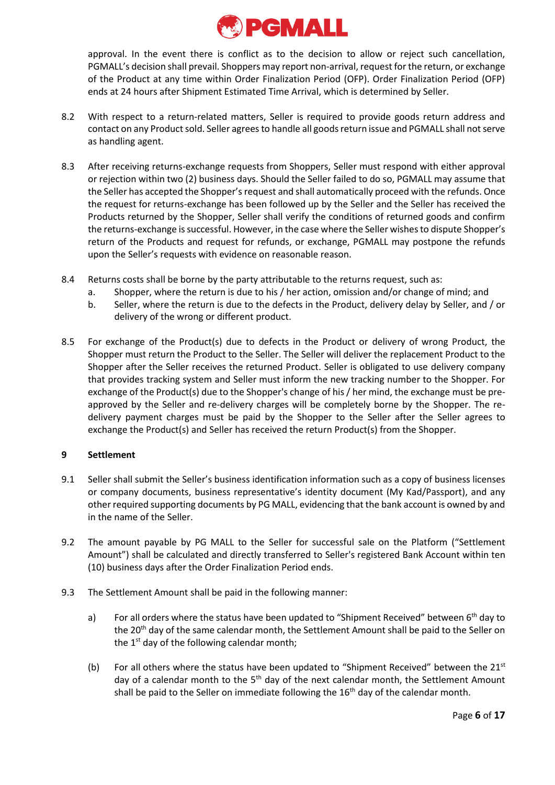

approval. In the event there is conflict as to the decision to allow or reject such cancellation, PGMALL's decision shall prevail. Shoppers may report non-arrival, request for the return, or exchange of the Product at any time within Order Finalization Period (OFP). Order Finalization Period (OFP) ends at 24 hours after Shipment Estimated Time Arrival, which is determined by Seller.

- 8.2 With respect to a return-related matters, Seller is required to provide goods return address and contact on any Product sold. Seller agrees to handle all goods return issue and PGMALL shall not serve as handling agent.
- 8.3 After receiving returns-exchange requests from Shoppers, Seller must respond with either approval or rejection within two (2) business days. Should the Seller failed to do so, PGMALL may assume that the Seller has accepted the Shopper's request and shall automatically proceed with the refunds. Once the request for returns-exchange has been followed up by the Seller and the Seller has received the Products returned by the Shopper, Seller shall verify the conditions of returned goods and confirm the returns-exchange is successful. However, in the case where the Seller wishes to dispute Shopper's return of the Products and request for refunds, or exchange, PGMALL may postpone the refunds upon the Seller's requests with evidence on reasonable reason.
- 8.4 Returns costs shall be borne by the party attributable to the returns request, such as:
	- a. Shopper, where the return is due to his / her action, omission and/or change of mind; and
	- b. Seller, where the return is due to the defects in the Product, delivery delay by Seller, and / or delivery of the wrong or different product.
- 8.5 For exchange of the Product(s) due to defects in the Product or delivery of wrong Product, the Shopper must return the Product to the Seller. The Seller will deliver the replacement Product to the Shopper after the Seller receives the returned Product. Seller is obligated to use delivery company that provides tracking system and Seller must inform the new tracking number to the Shopper. For exchange of the Product(s) due to the Shopper's change of his / her mind, the exchange must be preapproved by the Seller and re-delivery charges will be completely borne by the Shopper. The redelivery payment charges must be paid by the Shopper to the Seller after the Seller agrees to exchange the Product(s) and Seller has received the return Product(s) from the Shopper.

# **9 Settlement**

- 9.1 Seller shall submit the Seller's business identification information such as a copy of business licenses or company documents, business representative's identity document (My Kad/Passport), and any other required supporting documents by PG MALL, evidencing that the bank account is owned by and in the name of the Seller.
- 9.2 The amount payable by PG MALL to the Seller for successful sale on the Platform ("Settlement Amount") shall be calculated and directly transferred to Seller's registered Bank Account within ten (10) business days after the Order Finalization Period ends.
- 9.3 The Settlement Amount shall be paid in the following manner:
	- a) For all orders where the status have been updated to "Shipment Received" between  $6<sup>th</sup>$  day to the 20<sup>th</sup> day of the same calendar month, the Settlement Amount shall be paid to the Seller on the 1<sup>st</sup> day of the following calendar month;
	- (b) For all others where the status have been updated to "Shipment Received" between the  $21^{st}$ day of a calendar month to the 5<sup>th</sup> day of the next calendar month, the Settlement Amount shall be paid to the Seller on immediate following the 16<sup>th</sup> day of the calendar month.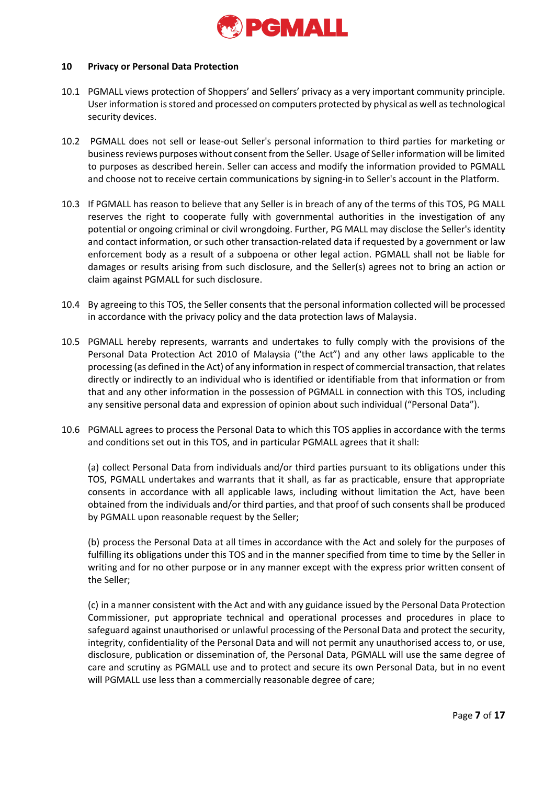

#### **10 Privacy or Personal Data Protection**

- 10.1 PGMALL views protection of Shoppers' and Sellers' privacy as a very important community principle. User information is stored and processed on computers protected by physical as well as technological security devices.
- 10.2 PGMALL does not sell or lease-out Seller's personal information to third parties for marketing or business reviews purposes without consent from the Seller. Usage of Seller information will be limited to purposes as described herein. Seller can access and modify the information provided to PGMALL and choose not to receive certain communications by signing-in to Seller's account in the Platform.
- 10.3 If PGMALL has reason to believe that any Seller is in breach of any of the terms of this TOS, PG MALL reserves the right to cooperate fully with governmental authorities in the investigation of any potential or ongoing criminal or civil wrongdoing. Further, PG MALL may disclose the Seller's identity and contact information, or such other transaction-related data if requested by a government or law enforcement body as a result of a subpoena or other legal action. PGMALL shall not be liable for damages or results arising from such disclosure, and the Seller(s) agrees not to bring an action or claim against PGMALL for such disclosure.
- 10.4 By agreeing to this TOS, the Seller consents that the personal information collected will be processed in accordance with the privacy policy and the data protection laws of Malaysia.
- 10.5 PGMALL hereby represents, warrants and undertakes to fully comply with the provisions of the Personal Data Protection Act 2010 of Malaysia ("the Act") and any other laws applicable to the processing (as defined in the Act) of any information in respect of commercial transaction, that relates directly or indirectly to an individual who is identified or identifiable from that information or from that and any other information in the possession of PGMALL in connection with this TOS, including any sensitive personal data and expression of opinion about such individual ("Personal Data").
- 10.6 PGMALL agrees to process the Personal Data to which this TOS applies in accordance with the terms and conditions set out in this TOS, and in particular PGMALL agrees that it shall:

(a) collect Personal Data from individuals and/or third parties pursuant to its obligations under this TOS, PGMALL undertakes and warrants that it shall, as far as practicable, ensure that appropriate consents in accordance with all applicable laws, including without limitation the Act, have been obtained from the individuals and/or third parties, and that proof of such consents shall be produced by PGMALL upon reasonable request by the Seller;

(b) process the Personal Data at all times in accordance with the Act and solely for the purposes of fulfilling its obligations under this TOS and in the manner specified from time to time by the Seller in writing and for no other purpose or in any manner except with the express prior written consent of the Seller;

(c) in a manner consistent with the Act and with any guidance issued by the Personal Data Protection Commissioner, put appropriate technical and operational processes and procedures in place to safeguard against unauthorised or unlawful processing of the Personal Data and protect the security, integrity, confidentiality of the Personal Data and will not permit any unauthorised access to, or use, disclosure, publication or dissemination of, the Personal Data, PGMALL will use the same degree of care and scrutiny as PGMALL use and to protect and secure its own Personal Data, but in no event will PGMALL use less than a commercially reasonable degree of care;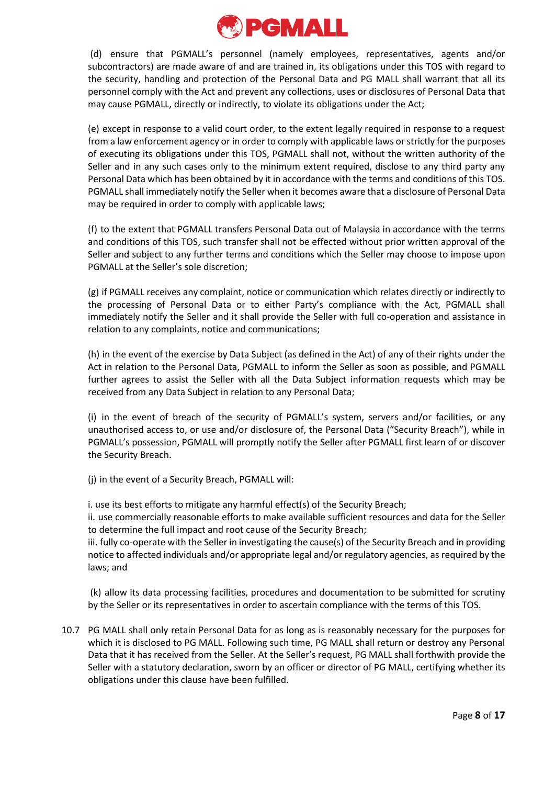

(d) ensure that PGMALL's personnel (namely employees, representatives, agents and/or subcontractors) are made aware of and are trained in, its obligations under this TOS with regard to the security, handling and protection of the Personal Data and PG MALL shall warrant that all its personnel comply with the Act and prevent any collections, uses or disclosures of Personal Data that may cause PGMALL, directly or indirectly, to violate its obligations under the Act;

(e) except in response to a valid court order, to the extent legally required in response to a request from a law enforcement agency or in order to comply with applicable laws or strictly for the purposes of executing its obligations under this TOS, PGMALL shall not, without the written authority of the Seller and in any such cases only to the minimum extent required, disclose to any third party any Personal Data which has been obtained by it in accordance with the terms and conditions of this TOS. PGMALL shall immediately notify the Seller when it becomes aware that a disclosure of Personal Data may be required in order to comply with applicable laws;

(f) to the extent that PGMALL transfers Personal Data out of Malaysia in accordance with the terms and conditions of this TOS, such transfer shall not be effected without prior written approval of the Seller and subject to any further terms and conditions which the Seller may choose to impose upon PGMALL at the Seller's sole discretion;

(g) if PGMALL receives any complaint, notice or communication which relates directly or indirectly to the processing of Personal Data or to either Party's compliance with the Act, PGMALL shall immediately notify the Seller and it shall provide the Seller with full co-operation and assistance in relation to any complaints, notice and communications;

(h) in the event of the exercise by Data Subject (as defined in the Act) of any of their rights under the Act in relation to the Personal Data, PGMALL to inform the Seller as soon as possible, and PGMALL further agrees to assist the Seller with all the Data Subject information requests which may be received from any Data Subject in relation to any Personal Data;

(i) in the event of breach of the security of PGMALL's system, servers and/or facilities, or any unauthorised access to, or use and/or disclosure of, the Personal Data ("Security Breach"), while in PGMALL's possession, PGMALL will promptly notify the Seller after PGMALL first learn of or discover the Security Breach.

(j) in the event of a Security Breach, PGMALL will:

i. use its best efforts to mitigate any harmful effect(s) of the Security Breach;

ii. use commercially reasonable efforts to make available sufficient resources and data for the Seller to determine the full impact and root cause of the Security Breach;

iii. fully co-operate with the Seller in investigating the cause(s) of the Security Breach and in providing notice to affected individuals and/or appropriate legal and/or regulatory agencies, as required by the laws; and

(k) allow its data processing facilities, procedures and documentation to be submitted for scrutiny by the Seller or its representatives in order to ascertain compliance with the terms of this TOS.

10.7 PG MALL shall only retain Personal Data for as long as is reasonably necessary for the purposes for which it is disclosed to PG MALL. Following such time, PG MALL shall return or destroy any Personal Data that it has received from the Seller. At the Seller's request, PG MALL shall forthwith provide the Seller with a statutory declaration, sworn by an officer or director of PG MALL, certifying whether its obligations under this clause have been fulfilled.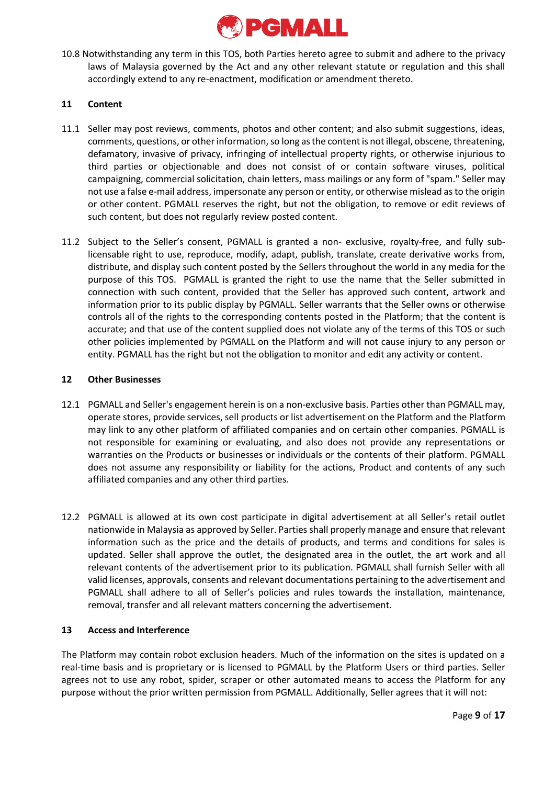

10.8 Notwithstanding any term in this TOS, both Parties hereto agree to submit and adhere to the privacy laws of Malaysia governed by the Act and any other relevant statute or regulation and this shall accordingly extend to any re-enactment, modification or amendment thereto.

## **11 Content**

- 11.1 Seller may post reviews, comments, photos and other content; and also submit suggestions, ideas, comments, questions, or other information, so long as the content is not illegal, obscene, threatening, defamatory, invasive of privacy, infringing of intellectual property rights, or otherwise injurious to third parties or objectionable and does not consist of or contain software viruses, political campaigning, commercial solicitation, chain letters, mass mailings or any form of "spam." Seller may not use a false e-mail address, impersonate any person or entity, or otherwise mislead as to the origin or other content. PGMALL reserves the right, but not the obligation, to remove or edit reviews of such content, but does not regularly review posted content.
- 11.2 Subject to the Seller's consent, PGMALL is granted a non- exclusive, royalty-free, and fully sublicensable right to use, reproduce, modify, adapt, publish, translate, create derivative works from, distribute, and display such content posted by the Sellers throughout the world in any media for the purpose of this TOS. PGMALL is granted the right to use the name that the Seller submitted in connection with such content, provided that the Seller has approved such content, artwork and information prior to its public display by PGMALL. Seller warrants that the Seller owns or otherwise controls all of the rights to the corresponding contents posted in the Platform; that the content is accurate; and that use of the content supplied does not violate any of the terms of this TOS or such other policies implemented by PGMALL on the Platform and will not cause injury to any person or entity. PGMALL has the right but not the obligation to monitor and edit any activity or content.

### **12 Other Businesses**

- 12.1 PGMALL and Seller's engagement herein is on a non-exclusive basis. Parties other than PGMALL may, operate stores, provide services, sell products or list advertisement on the Platform and the Platform may link to any other platform of affiliated companies and on certain other companies. PGMALL is not responsible for examining or evaluating, and also does not provide any representations or warranties on the Products or businesses or individuals or the contents of their platform. PGMALL does not assume any responsibility or liability for the actions, Product and contents of any such affiliated companies and any other third parties.
- 12.2 PGMALL is allowed at its own cost participate in digital advertisement at all Seller's retail outlet nationwide in Malaysia as approved by Seller. Parties shall properly manage and ensure that relevant information such as the price and the details of products, and terms and conditions for sales is updated. Seller shall approve the outlet, the designated area in the outlet, the art work and all relevant contents of the advertisement prior to its publication. PGMALL shall furnish Seller with all valid licenses, approvals, consents and relevant documentations pertaining to the advertisement and PGMALL shall adhere to all of Seller's policies and rules towards the installation, maintenance, removal, transfer and all relevant matters concerning the advertisement.

# **13 Access and Interference**

The Platform may contain robot exclusion headers. Much of the information on the sites is updated on a real-time basis and is proprietary or is licensed to PGMALL by the Platform Users or third parties. Seller agrees not to use any robot, spider, scraper or other automated means to access the Platform for any purpose without the prior written permission from PGMALL. Additionally, Seller agrees that it will not: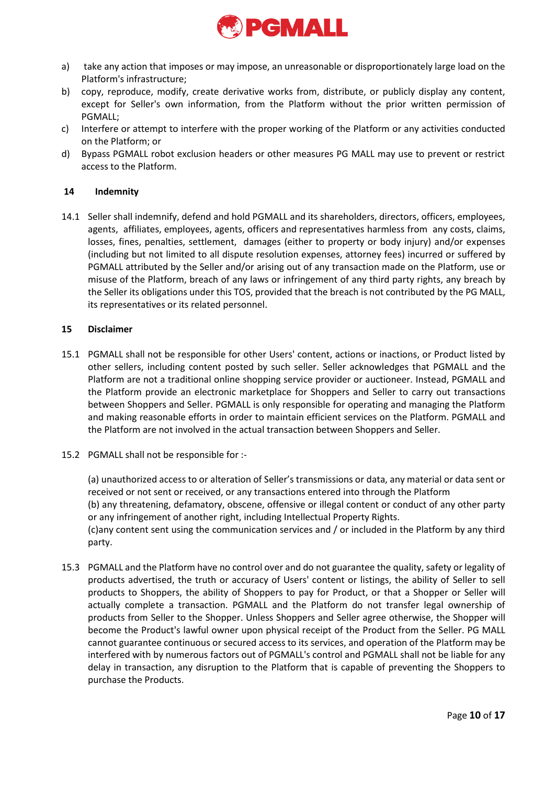

- a) take any action that imposes or may impose, an unreasonable or disproportionately large load on the Platform's infrastructure;
- b) copy, reproduce, modify, create derivative works from, distribute, or publicly display any content, except for Seller's own information, from the Platform without the prior written permission of PGMALL;
- c) Interfere or attempt to interfere with the proper working of the Platform or any activities conducted on the Platform; or
- d) Bypass PGMALL robot exclusion headers or other measures PG MALL may use to prevent or restrict access to the Platform.

# **14 Indemnity**

14.1 Seller shall indemnify, defend and hold PGMALL and its shareholders, directors, officers, employees, agents, affiliates, employees, agents, officers and representatives harmless from any costs, claims, losses, fines, penalties, settlement, damages (either to property or body injury) and/or expenses (including but not limited to all dispute resolution expenses, attorney fees) incurred or suffered by PGMALL attributed by the Seller and/or arising out of any transaction made on the Platform, use or misuse of the Platform, breach of any laws or infringement of any third party rights, any breach by the Seller its obligations under this TOS, provided that the breach is not contributed by the PG MALL, its representatives or its related personnel.

#### **15 Disclaimer**

- 15.1 PGMALL shall not be responsible for other Users' content, actions or inactions, or Product listed by other sellers, including content posted by such seller. Seller acknowledges that PGMALL and the Platform are not a traditional online shopping service provider or auctioneer. Instead, PGMALL and the Platform provide an electronic marketplace for Shoppers and Seller to carry out transactions between Shoppers and Seller. PGMALL is only responsible for operating and managing the Platform and making reasonable efforts in order to maintain efficient services on the Platform. PGMALL and the Platform are not involved in the actual transaction between Shoppers and Seller.
- 15.2 PGMALL shall not be responsible for :-

(a) unauthorized access to or alteration of Seller's transmissions or data, any material or data sent or received or not sent or received, or any transactions entered into through the Platform (b) any threatening, defamatory, obscene, offensive or illegal content or conduct of any other party or any infringement of another right, including Intellectual Property Rights. (c)any content sent using the communication services and / or included in the Platform by any third party.

15.3 PGMALL and the Platform have no control over and do not guarantee the quality, safety or legality of products advertised, the truth or accuracy of Users' content or listings, the ability of Seller to sell products to Shoppers, the ability of Shoppers to pay for Product, or that a Shopper or Seller will actually complete a transaction. PGMALL and the Platform do not transfer legal ownership of products from Seller to the Shopper. Unless Shoppers and Seller agree otherwise, the Shopper will become the Product's lawful owner upon physical receipt of the Product from the Seller. PG MALL cannot guarantee continuous or secured access to its services, and operation of the Platform may be interfered with by numerous factors out of PGMALL's control and PGMALL shall not be liable for any delay in transaction, any disruption to the Platform that is capable of preventing the Shoppers to purchase the Products.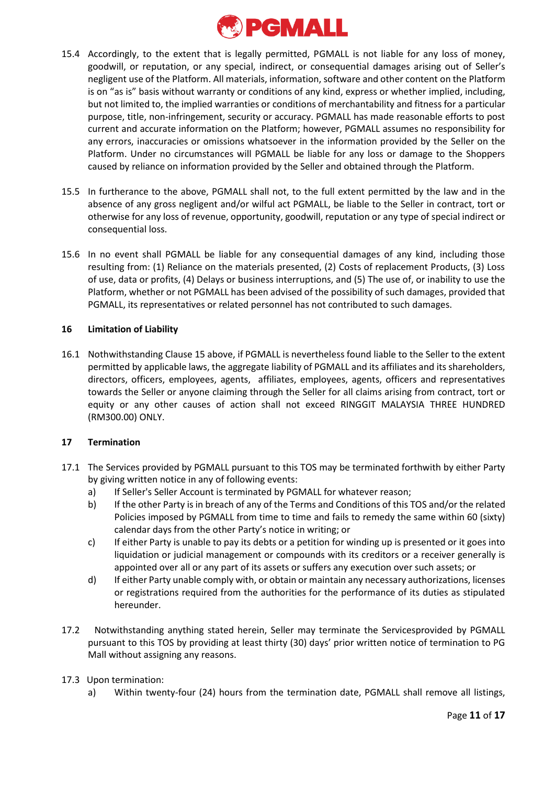

- 15.4 Accordingly, to the extent that is legally permitted, PGMALL is not liable for any loss of money, goodwill, or reputation, or any special, indirect, or consequential damages arising out of Seller's negligent use of the Platform. All materials, information, software and other content on the Platform is on "as is" basis without warranty or conditions of any kind, express or whether implied, including, but not limited to, the implied warranties or conditions of merchantability and fitness for a particular purpose, title, non-infringement, security or accuracy. PGMALL has made reasonable efforts to post current and accurate information on the Platform; however, PGMALL assumes no responsibility for any errors, inaccuracies or omissions whatsoever in the information provided by the Seller on the Platform. Under no circumstances will PGMALL be liable for any loss or damage to the Shoppers caused by reliance on information provided by the Seller and obtained through the Platform.
- 15.5 In furtherance to the above, PGMALL shall not, to the full extent permitted by the law and in the absence of any gross negligent and/or wilful act PGMALL, be liable to the Seller in contract, tort or otherwise for any loss of revenue, opportunity, goodwill, reputation or any type of special indirect or consequential loss.
- 15.6 In no event shall PGMALL be liable for any consequential damages of any kind, including those resulting from: (1) Reliance on the materials presented, (2) Costs of replacement Products, (3) Loss of use, data or profits, (4) Delays or business interruptions, and (5) The use of, or inability to use the Platform, whether or not PGMALL has been advised of the possibility of such damages, provided that PGMALL, its representatives or related personnel has not contributed to such damages.

### **16 Limitation of Liability**

16.1 Nothwithstanding Clause 15 above, if PGMALL is nevertheless found liable to the Seller to the extent permitted by applicable laws, the aggregate liability of PGMALL and its affiliates and its shareholders, directors, officers, employees, agents, affiliates, employees, agents, officers and representatives towards the Seller or anyone claiming through the Seller for all claims arising from contract, tort or equity or any other causes of action shall not exceed RINGGIT MALAYSIA THREE HUNDRED (RM300.00) ONLY.

# **17 Termination**

- 17.1 The Services provided by PGMALL pursuant to this TOS may be terminated forthwith by either Party by giving written notice in any of following events:
	- a) If Seller's Seller Account is terminated by PGMALL for whatever reason;
	- b) If the other Party is in breach of any of the Terms and Conditions of this TOS and/or the related Policies imposed by PGMALL from time to time and fails to remedy the same within 60 (sixty) calendar days from the other Party's notice in writing; or
	- c) If either Party is unable to pay its debts or a petition for winding up is presented or it goes into liquidation or judicial management or compounds with its creditors or a receiver generally is appointed over all or any part of its assets or suffers any execution over such assets; or
	- d) If either Party unable comply with, or obtain or maintain any necessary authorizations, licenses or registrations required from the authorities for the performance of its duties as stipulated hereunder.
- 17.2 Notwithstanding anything stated herein, Seller may terminate the Servicesprovided by PGMALL pursuant to this TOS by providing at least thirty (30) days' prior written notice of termination to PG Mall without assigning any reasons.

# 17.3 Upon termination:

a) Within twenty-four (24) hours from the termination date, PGMALL shall remove all listings,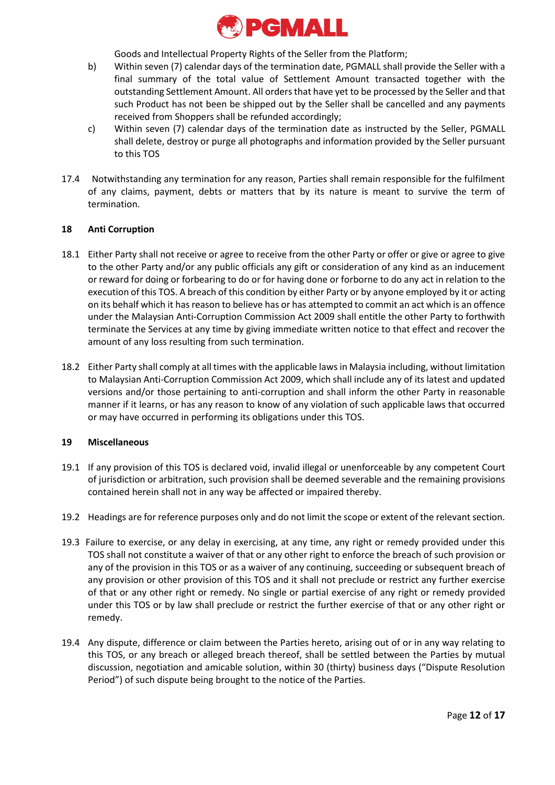

Goods and Intellectual Property Rights of the Seller from the Platform;

- b) Within seven (7) calendar days of the termination date, PGMALL shall provide the Seller with a final summary of the total value of Settlement Amount transacted together with the outstanding Settlement Amount. All orders that have yet to be processed by the Seller and that such Product has not been be shipped out by the Seller shall be cancelled and any payments received from Shoppers shall be refunded accordingly;
- c) Within seven (7) calendar days of the termination date as instructed by the Seller, PGMALL shall delete, destroy or purge all photographs and information provided by the Seller pursuant to this TOS
- 17.4 Notwithstanding any termination for any reason, Parties shall remain responsible for the fulfilment of any claims, payment, debts or matters that by its nature is meant to survive the term of termination.

# **18 Anti Corruption**

- 18.1 Either Party shall not receive or agree to receive from the other Party or offer or give or agree to give to the other Party and/or any public officials any gift or consideration of any kind as an inducement or reward for doing or forbearing to do or for having done or forborne to do any act in relation to the execution of this TOS. A breach of this condition by either Party or by anyone employed by it or acting on its behalf which it has reason to believe has or has attempted to commit an act which is an offence under the Malaysian Anti-Corruption Commission Act 2009 shall entitle the other Party to forthwith terminate the Services at any time by giving immediate written notice to that effect and recover the amount of any loss resulting from such termination.
- 18.2 Either Party shall comply at all times with the applicable laws in Malaysia including, without limitation to Malaysian Anti-Corruption Commission Act 2009, which shall include any of its latest and updated versions and/or those pertaining to anti-corruption and shall inform the other Party in reasonable manner if it learns, or has any reason to know of any violation of such applicable laws that occurred or may have occurred in performing its obligations under this TOS.

# **19 Miscellaneous**

- 19.1 If any provision of this TOS is declared void, invalid illegal or unenforceable by any competent Court of jurisdiction or arbitration, such provision shall be deemed severable and the remaining provisions contained herein shall not in any way be affected or impaired thereby.
- 19.2 Headings are for reference purposes only and do not limit the scope or extent of the relevant section.
- 19.3 Failure to exercise, or any delay in exercising, at any time, any right or remedy provided under this TOS shall not constitute a waiver of that or any other right to enforce the breach of such provision or any of the provision in this TOS or as a waiver of any continuing, succeeding or subsequent breach of any provision or other provision of this TOS and it shall not preclude or restrict any further exercise of that or any other right or remedy. No single or partial exercise of any right or remedy provided under this TOS or by law shall preclude or restrict the further exercise of that or any other right or remedy.
- 19.4 Any dispute, difference or claim between the Parties hereto, arising out of or in any way relating to this TOS, or any breach or alleged breach thereof, shall be settled between the Parties by mutual discussion, negotiation and amicable solution, within 30 (thirty) business days ("Dispute Resolution Period") of such dispute being brought to the notice of the Parties.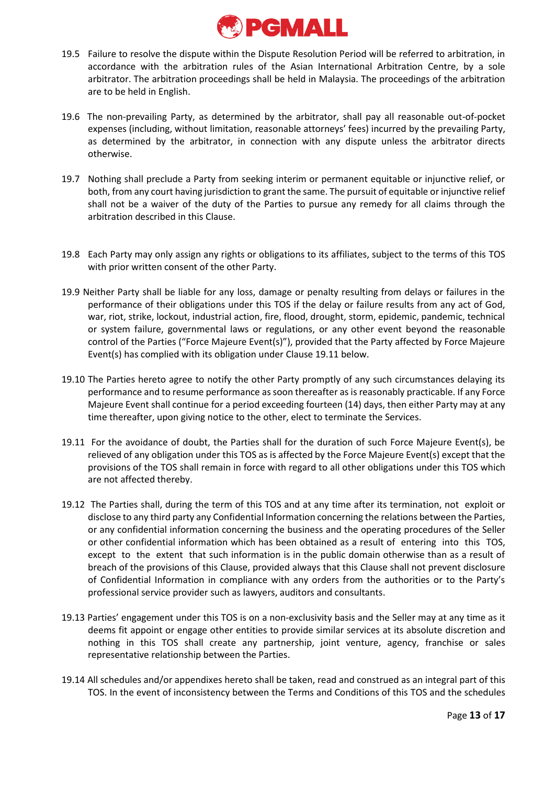

- 19.5 Failure to resolve the dispute within the Dispute Resolution Period will be referred to arbitration, in accordance with the arbitration rules of the Asian International Arbitration Centre, by a sole arbitrator. The arbitration proceedings shall be held in Malaysia. The proceedings of the arbitration are to be held in English.
- 19.6 The non-prevailing Party, as determined by the arbitrator, shall pay all reasonable out-of-pocket expenses (including, without limitation, reasonable attorneys' fees) incurred by the prevailing Party, as determined by the arbitrator, in connection with any dispute unless the arbitrator directs otherwise.
- 19.7 Nothing shall preclude a Party from seeking interim or permanent equitable or injunctive relief, or both, from any court having jurisdiction to grant the same. The pursuit of equitable or injunctive relief shall not be a waiver of the duty of the Parties to pursue any remedy for all claims through the arbitration described in this Clause.
- 19.8 Each Party may only assign any rights or obligations to its affiliates, subject to the terms of this TOS with prior written consent of the other Party.
- 19.9 Neither Party shall be liable for any loss, damage or penalty resulting from delays or failures in the performance of their obligations under this TOS if the delay or failure results from any act of God, war, riot, strike, lockout, industrial action, fire, flood, drought, storm, epidemic, pandemic, technical or system failure, governmental laws or regulations, or any other event beyond the reasonable control of the Parties ("Force Majeure Event(s)"), provided that the Party affected by Force Majeure Event(s) has complied with its obligation under Clause 19.11 below.
- 19.10 The Parties hereto agree to notify the other Party promptly of any such circumstances delaying its performance and to resume performance as soon thereafter as is reasonably practicable. If any Force Majeure Event shall continue for a period exceeding fourteen (14) days, then either Party may at any time thereafter, upon giving notice to the other, elect to terminate the Services.
- 19.11 For the avoidance of doubt, the Parties shall for the duration of such Force Majeure Event(s), be relieved of any obligation under this TOS as is affected by the Force Majeure Event(s) except that the provisions of the TOS shall remain in force with regard to all other obligations under this TOS which are not affected thereby.
- 19.12 The Parties shall, during the term of this TOS and at any time after its termination, not exploit or disclose to any third party any Confidential Information concerning the relations between the Parties, or any confidential information concerning the business and the operating procedures of the Seller or other confidential information which has been obtained as a result of entering into this TOS, except to the extent that such information is in the public domain otherwise than as a result of breach of the provisions of this Clause, provided always that this Clause shall not prevent disclosure of Confidential Information in compliance with any orders from the authorities or to the Party's professional service provider such as lawyers, auditors and consultants.
- 19.13 Parties' engagement under this TOS is on a non-exclusivity basis and the Seller may at any time as it deems fit appoint or engage other entities to provide similar services at its absolute discretion and nothing in this TOS shall create any partnership, joint venture, agency, franchise or sales representative relationship between the Parties.
- 19.14 All schedules and/or appendixes hereto shall be taken, read and construed as an integral part of this TOS. In the event of inconsistency between the Terms and Conditions of this TOS and the schedules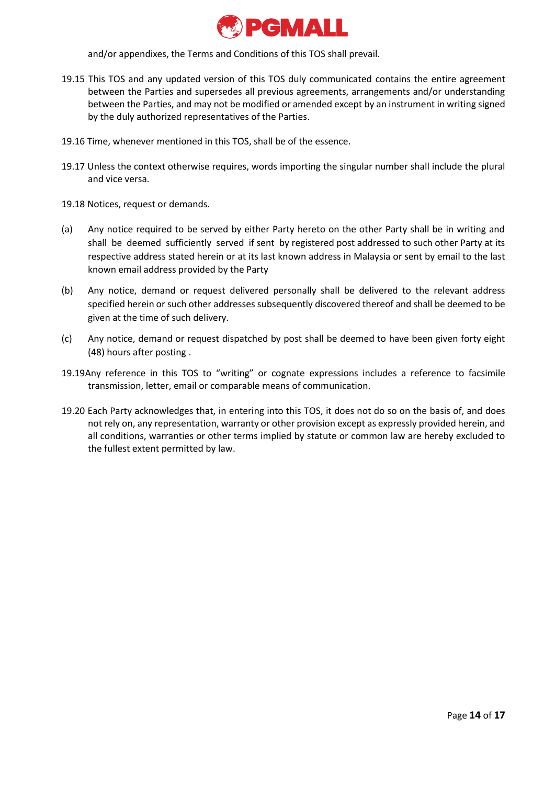

and/or appendixes, the Terms and Conditions of this TOS shall prevail.

- 19.15 This TOS and any updated version of this TOS duly communicated contains the entire agreement between the Parties and supersedes all previous agreements, arrangements and/or understanding between the Parties, and may not be modified or amended except by an instrument in writing signed by the duly authorized representatives of the Parties.
- 19.16 Time, whenever mentioned in this TOS, shall be of the essence.
- 19.17 Unless the context otherwise requires, words importing the singular number shall include the plural and vice versa.
- 19.18 Notices, request or demands.
- (a) Any notice required to be served by either Party hereto on the other Party shall be in writing and shall be deemed sufficiently served if sent by registered post addressed to such other Party at its respective address stated herein or at its last known address in Malaysia or sent by email to the last known email address provided by the Party
- (b) Any notice, demand or request delivered personally shall be delivered to the relevant address specified herein or such other addresses subsequently discovered thereof and shall be deemed to be given at the time of such delivery.
- (c) Any notice, demand or request dispatched by post shall be deemed to have been given forty eight (48) hours after posting .
- 19.19Any reference in this TOS to "writing" or cognate expressions includes a reference to facsimile transmission, letter, email or comparable means of communication.
- 19.20 Each Party acknowledges that, in entering into this TOS, it does not do so on the basis of, and does not rely on, any representation, warranty or other provision except as expressly provided herein, and all conditions, warranties or other terms implied by statute or common law are hereby excluded to the fullest extent permitted by law.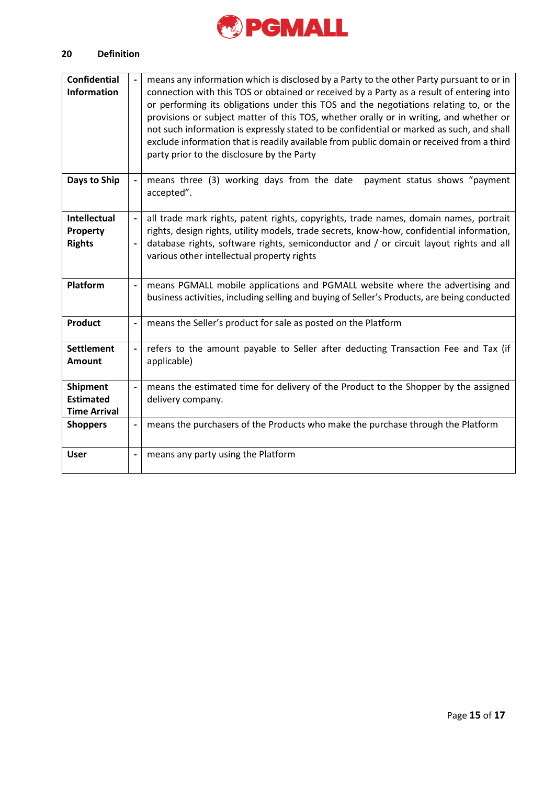

#### 20 **20 Definition**

| <b>Confidential</b><br><b>Information</b>                  |                          | means any information which is disclosed by a Party to the other Party pursuant to or in<br>connection with this TOS or obtained or received by a Party as a result of entering into<br>or performing its obligations under this TOS and the negotiations relating to, or the<br>provisions or subject matter of this TOS, whether orally or in writing, and whether or<br>not such information is expressly stated to be confidential or marked as such, and shall<br>exclude information that is readily available from public domain or received from a third |
|------------------------------------------------------------|--------------------------|------------------------------------------------------------------------------------------------------------------------------------------------------------------------------------------------------------------------------------------------------------------------------------------------------------------------------------------------------------------------------------------------------------------------------------------------------------------------------------------------------------------------------------------------------------------|
|                                                            |                          | party prior to the disclosure by the Party                                                                                                                                                                                                                                                                                                                                                                                                                                                                                                                       |
| Days to Ship                                               |                          | payment status shows "payment<br>means three (3) working days from the date<br>accepted".                                                                                                                                                                                                                                                                                                                                                                                                                                                                        |
| <b>Intellectual</b><br>Property<br><b>Rights</b>           | $\blacksquare$           | all trade mark rights, patent rights, copyrights, trade names, domain names, portrait<br>rights, design rights, utility models, trade secrets, know-how, confidential information,<br>database rights, software rights, semiconductor and / or circuit layout rights and all<br>various other intellectual property rights                                                                                                                                                                                                                                       |
| Platform                                                   | $\overline{\phantom{0}}$ | means PGMALL mobile applications and PGMALL website where the advertising and<br>business activities, including selling and buying of Seller's Products, are being conducted                                                                                                                                                                                                                                                                                                                                                                                     |
| <b>Product</b>                                             |                          | means the Seller's product for sale as posted on the Platform                                                                                                                                                                                                                                                                                                                                                                                                                                                                                                    |
| <b>Settlement</b><br><b>Amount</b>                         | $\overline{\phantom{0}}$ | refers to the amount payable to Seller after deducting Transaction Fee and Tax (if<br>applicable)                                                                                                                                                                                                                                                                                                                                                                                                                                                                |
| <b>Shipment</b><br><b>Estimated</b><br><b>Time Arrival</b> | $\overline{\phantom{0}}$ | means the estimated time for delivery of the Product to the Shopper by the assigned<br>delivery company.                                                                                                                                                                                                                                                                                                                                                                                                                                                         |
| <b>Shoppers</b>                                            | $\overline{\phantom{0}}$ | means the purchasers of the Products who make the purchase through the Platform                                                                                                                                                                                                                                                                                                                                                                                                                                                                                  |
| <b>User</b>                                                |                          | means any party using the Platform                                                                                                                                                                                                                                                                                                                                                                                                                                                                                                                               |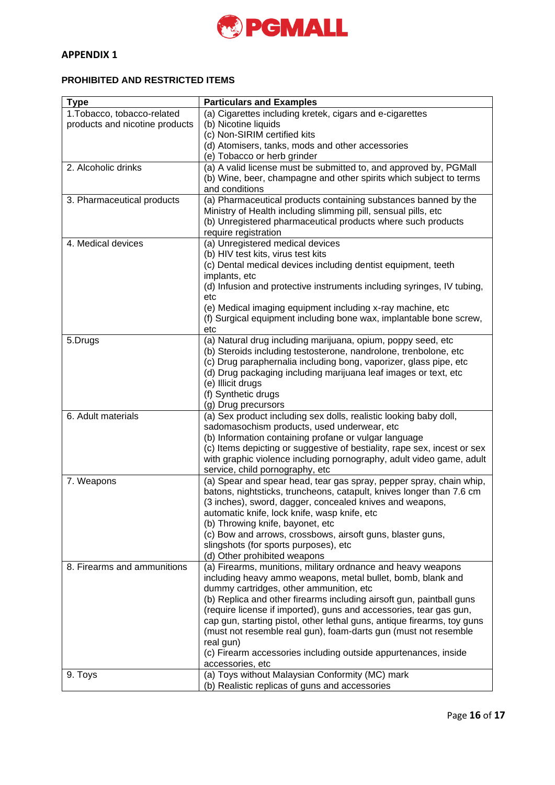

# **APPENDIX 1**

# **PROHIBITED AND RESTRICTED ITEMS**

| <b>Type</b>                    | <b>Particulars and Examples</b>                                                              |
|--------------------------------|----------------------------------------------------------------------------------------------|
| 1. Tobacco, tobacco-related    | (a) Cigarettes including kretek, cigars and e-cigarettes                                     |
| products and nicotine products | (b) Nicotine liquids                                                                         |
|                                | (c) Non-SIRIM certified kits                                                                 |
|                                | (d) Atomisers, tanks, mods and other accessories                                             |
|                                | (e) Tobacco or herb grinder                                                                  |
| 2. Alcoholic drinks            | (a) A valid license must be submitted to, and approved by, PGMall                            |
|                                | (b) Wine, beer, champagne and other spirits which subject to terms                           |
|                                | and conditions                                                                               |
| 3. Pharmaceutical products     | (a) Pharmaceutical products containing substances banned by the                              |
|                                | Ministry of Health including slimming pill, sensual pills, etc                               |
|                                | (b) Unregistered pharmaceutical products where such products                                 |
| 4. Medical devices             | require registration                                                                         |
|                                | (a) Unregistered medical devices                                                             |
|                                | (b) HIV test kits, virus test kits                                                           |
|                                | (c) Dental medical devices including dentist equipment, teeth<br>implants, etc               |
|                                | (d) Infusion and protective instruments including syringes, IV tubing,                       |
|                                | etc                                                                                          |
|                                | (e) Medical imaging equipment including x-ray machine, etc                                   |
|                                | (f) Surgical equipment including bone wax, implantable bone screw,                           |
|                                | etc                                                                                          |
| 5.Drugs                        | (a) Natural drug including marijuana, opium, poppy seed, etc                                 |
|                                | (b) Steroids including testosterone, nandrolone, trenbolone, etc                             |
|                                | (c) Drug paraphernalia including bong, vaporizer, glass pipe, etc                            |
|                                | (d) Drug packaging including marijuana leaf images or text, etc                              |
|                                | (e) Illicit drugs                                                                            |
|                                | (f) Synthetic drugs                                                                          |
|                                | (g) Drug precursors                                                                          |
| 6. Adult materials             | (a) Sex product including sex dolls, realistic looking baby doll,                            |
|                                | sadomasochism products, used underwear, etc                                                  |
|                                | (b) Information containing profane or vulgar language                                        |
|                                | (c) Items depicting or suggestive of bestiality, rape sex, incest or sex                     |
|                                | with graphic violence including pornography, adult video game, adult                         |
|                                | service, child pornography, etc                                                              |
| 7. Weapons                     | (a) Spear and spear head, tear gas spray, pepper spray, chain whip,                          |
|                                | batons, nightsticks, truncheons, catapult, knives longer than 7.6 cm                         |
|                                | (3 inches), sword, dagger, concealed knives and weapons,                                     |
|                                | automatic knife, lock knife, wasp knife, etc                                                 |
|                                | (b) Throwing knife, bayonet, etc                                                             |
|                                | (c) Bow and arrows, crossbows, airsoft guns, blaster guns,                                   |
|                                | slingshots (for sports purposes), etc                                                        |
| 8. Firearms and ammunitions    | (d) Other prohibited weapons<br>(a) Firearms, munitions, military ordnance and heavy weapons |
|                                | including heavy ammo weapons, metal bullet, bomb, blank and                                  |
|                                | dummy cartridges, other ammunition, etc                                                      |
|                                | (b) Replica and other firearms including airsoft gun, paintball guns                         |
|                                | (require license if imported), guns and accessories, tear gas gun,                           |
|                                | cap gun, starting pistol, other lethal guns, antique firearms, toy guns                      |
|                                | (must not resemble real gun), foam-darts gun (must not resemble                              |
|                                | real gun)                                                                                    |
|                                | (c) Firearm accessories including outside appurtenances, inside                              |
|                                | accessories, etc                                                                             |
| 9. Toys                        | (a) Toys without Malaysian Conformity (MC) mark                                              |
|                                | (b) Realistic replicas of guns and accessories                                               |